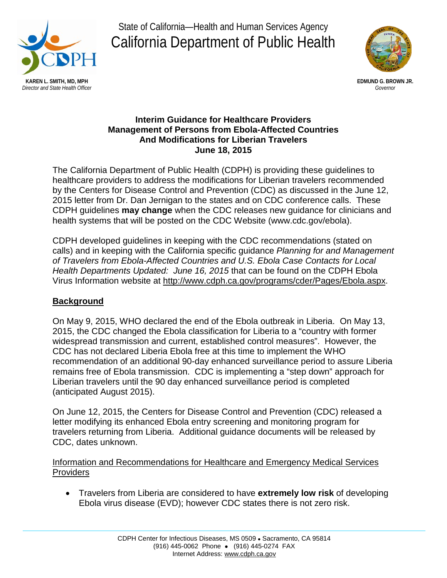

State of California—Health and Human Services Agency California Department of Public Health



## **Interim Guidance for Healthcare Providers Management of Persons from Ebola-Affected Countries And Modifications for Liberian Travelers June 18, 2015**

The California Department of Public Health (CDPH) is providing these guidelines to healthcare providers to address the modifications for Liberian travelers recommended by the Centers for Disease Control and Prevention (CDC) as discussed in the June 12, 2015 letter from Dr. Dan Jernigan to the states and on CDC conference calls. These CDPH guidelines **may change** when the CDC releases new guidance for clinicians and health systems that will be posted on the CDC Website (www.cdc.gov/ebola).

CDPH developed guidelines in keeping with the CDC recommendations (stated on calls) and in keeping with the California specific guidance *Planning for and Management of Travelers from Ebola-Affected Countries and U.S. Ebola Case Contacts for Local Health Departments Updated: June 16, 2015* that can be found on the CDPH Ebola Virus Information website at [http://www.cdph.ca.gov/programs/cder/Pages/Ebola.aspx.](http://www.cdph.ca.gov/programs/cder/Pages/Ebola.aspx)

# **Background**

On May 9, 2015, WHO declared the end of the Ebola outbreak in Liberia. On May 13, 2015, the CDC changed the Ebola classification for Liberia to a "country with former widespread transmission and current, established control measures". However, the CDC has not declared Liberia Ebola free at this time to implement the WHO recommendation of an additional 90-day enhanced surveillance period to assure Liberia remains free of Ebola transmission. CDC is implementing a "step down" approach for Liberian travelers until the 90 day enhanced surveillance period is completed (anticipated August 2015).

On June 12, 2015, the Centers for Disease Control and Prevention (CDC) released a letter modifying its enhanced Ebola entry screening and monitoring program for travelers returning from Liberia. Additional guidance documents will be released by CDC, dates unknown.

Information and Recommendations for Healthcare and Emergency Medical Services **Providers** 

• Travelers from Liberia are considered to have **extremely low risk** of developing Ebola virus disease (EVD); however CDC states there is not zero risk.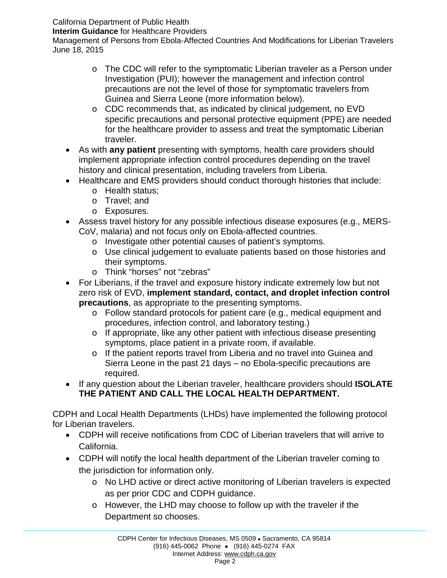California Department of Public Health

**Interim Guidance** for Healthcare Providers

Management of Persons from Ebola-Affected Countries And Modifications for Liberian Travelers June 18, 2015

- o The CDC will refer to the symptomatic Liberian traveler as a Person under Investigation (PUI); however the management and infection control precautions are not the level of those for symptomatic travelers from Guinea and Sierra Leone (more information below).
- o CDC recommends that, as indicated by clinical judgement, no EVD specific precautions and personal protective equipment (PPE) are needed for the healthcare provider to assess and treat the symptomatic Liberian traveler.
- As with **any patient** presenting with symptoms, health care providers should implement appropriate infection control procedures depending on the travel history and clinical presentation, including travelers from Liberia.
- Healthcare and EMS providers should conduct thorough histories that include:
	- o Health status;
	- o Travel; and
	- o Exposures.
- Assess travel history for any possible infectious disease exposures (e.g., MERS-CoV, malaria) and not focus only on Ebola-affected countries.
	- o Investigate other potential causes of patient's symptoms.
	- o Use clinical judgement to evaluate patients based on those histories and their symptoms.
	- o Think "horses" not "zebras"
- For Liberians, if the travel and exposure history indicate extremely low but not zero risk of EVD, **implement standard, contact, and droplet infection control precautions**, as appropriate to the presenting symptoms.
	- o Follow standard protocols for patient care (e.g., medical equipment and procedures, infection control, and laboratory testing.)
	- o If appropriate, like any other patient with infectious disease presenting symptoms, place patient in a private room, if available.
	- o If the patient reports travel from Liberia and no travel into Guinea and Sierra Leone in the past 21 days – no Ebola-specific precautions are required.
- If any question about the Liberian traveler, healthcare providers should **ISOLATE THE PATIENT AND CALL THE LOCAL HEALTH DEPARTMENT.**

CDPH and Local Health Departments (LHDs) have implemented the following protocol for Liberian travelers.

- CDPH will receive notifications from CDC of Liberian travelers that will arrive to California.
- CDPH will notify the local health department of the Liberian traveler coming to the jurisdiction for information only.
	- o No LHD active or direct active monitoring of Liberian travelers is expected as per prior CDC and CDPH guidance.
	- o However, the LHD may choose to follow up with the traveler if the Department so chooses.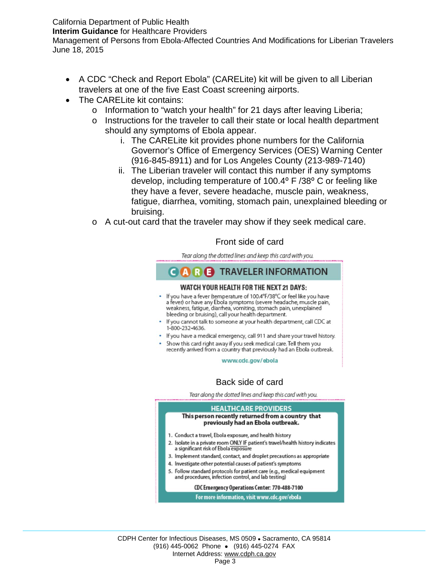California Department of Public Health

**Interim Guidance** for Healthcare Providers

Management of Persons from Ebola-Affected Countries And Modifications for Liberian Travelers June 18, 2015

- A CDC "Check and Report Ebola" (CARELite) kit will be given to all Liberian travelers at one of the five East Coast screening airports.
- The CARELite kit contains:
	- o Information to "watch your health" for 21 days after leaving Liberia;
	- o Instructions for the traveler to call their state or local health department should any symptoms of Ebola appear.
		- i. The CARELite kit provides phone numbers for the California Governor's Office of Emergency Services (OES) Warning Center (916-845-8911) and for Los Angeles County (213-989-7140)
		- ii. The Liberian traveler will contact this number if any symptoms develop, including temperature of  $100.4^\circ$  F  $/38^\circ$  C or feeling like they have a fever, severe headache, muscle pain, weakness, fatigue, diarrhea, vomiting, stomach pain, unexplained bleeding or bruising.
	- o A cut-out card that the traveler may show if they seek medical care.

## Front side of card

Tear along the dotted lines and keep this card with you.

### **CARE** TRAVELER INFORMATION **WATCH YOUR HEALTH FOR THE NEXT 21 DAYS:** . If you have a fever (temperature of 100.4°F/38°C or feel like you have a fever) or have any Ebola symptoms (severe headache, muscle pain, weakness, fatigue, diarrhea, vomiting, stomach pain, unexplained bleeding or bruising), call your health department. • If you cannot talk to someone at your health department, call CDC at 1-800-232-4636. . If you have a medical emergency, call 911 and share your travel history. . Show this card right away if you seek medical care. Tell them you recently arrived from a country that previously had an Ebola outbreak. www.cdc.gov/ebola Back side of cardTear along the dotted lines and keep this card with you. **HEALTHCARE PROVIDERS** This person recently returned from a country that previously had an Ebola outbreak. 1. Conduct a travel, Ebola exposure, and health history 2. Isolate in a private room ONLY IF patient's travel/health history indicates a significant risk of Ebola exposure 3. Implement standard, contact, and droplet precautions as appropriate 4. Investigate other potential causes of patient's symptoms 5. Follow standard protocols for patient care (e.g., medical equipment and procedures, infection control, and lab testing)

#### CDC Emergency Operations Center: 770-488-7100

For more information, visit www.cdc.gov/ebola